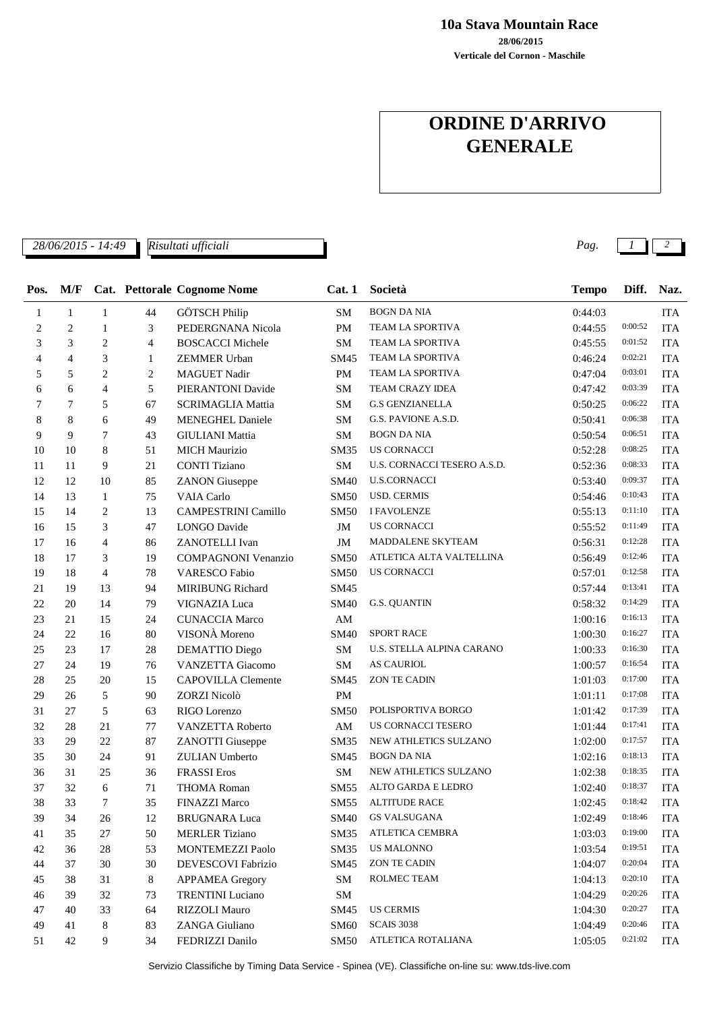**28/06/2015 10a Stava Mountain Race**

**Verticale del Cornon - Maschile**

## **ORDINE D'ARRIVO GENERALE**

*28/06/2015 - 14:49 Pag. 1 2*

*Risultati ufficiali*

| Pos.           | M/F            |                |                | <b>Cat. Pettorale Cognome Nome</b> | Cat.1                  | Società                     | <b>Tempo</b> | Diff.       | Naz.       |
|----------------|----------------|----------------|----------------|------------------------------------|------------------------|-----------------------------|--------------|-------------|------------|
| 1              | $\mathbf{1}$   | $\mathbf{1}$   | 44             | <b>GÖTSCH Philip</b>               | SM                     | <b>BOGN DA NIA</b>          | 0:44:03      |             | <b>ITA</b> |
| $\overline{c}$ | $\overline{c}$ | $\mathbf{1}$   | 3              | PEDERGNANA Nicola                  | PM                     | TEAM LA SPORTIVA            | 0:44:55      | 0:00:52     | <b>ITA</b> |
| 3              | 3              | $\overline{c}$ | 4              | <b>BOSCACCI Michele</b>            | SM                     | TEAM LA SPORTIVA            | 0:45:55      | 0:01:52     | <b>ITA</b> |
| 4              | 4              | 3              | 1              | <b>ZEMMER Urban</b>                | SM45                   | TEAM LA SPORTIVA            | 0:46:24      | 0:02:21     | <b>ITA</b> |
| 5              | 5              | $\overline{c}$ | $\overline{c}$ | <b>MAGUET Nadir</b>                | <b>PM</b>              | TEAM LA SPORTIVA            | 0:47:04      | 0:03:01     | <b>ITA</b> |
| 6              | 6              | $\overline{4}$ | 5              | PIERANTONI Davide                  | SM                     | TEAM CRAZY IDEA             | 0:47:42      | 0:03:39     | <b>ITA</b> |
| 7              | 7              | 5              | 67             | <b>SCRIMAGLIA Mattia</b>           | SM                     | <b>G.S GENZIANELLA</b>      | 0:50:25      | 0:06:22     | <b>ITA</b> |
| 8              | 8              | 6              | 49             | <b>MENEGHEL Daniele</b>            | <b>SM</b>              | G.S. PAVIONE A.S.D.         | 0:50:41      | 0:06:38     | <b>ITA</b> |
| 9              | 9              | $\overline{7}$ | 43             | <b>GIULIANI</b> Mattia             | <b>SM</b>              | <b>BOGN DA NIA</b>          | 0:50:54      | 0:06:51     | <b>ITA</b> |
| 10             | 10             | $\,8\,$        | 51             | <b>MICH Maurizio</b>               | <b>SM35</b>            | <b>US CORNACCI</b>          | 0:52:28      | 0:08:25     | <b>ITA</b> |
| 11             | 11             | 9              | 21             | <b>CONTI Tiziano</b>               | SM                     | U.S. CORNACCI TESERO A.S.D. | 0:52:36      | 0:08:33     | <b>ITA</b> |
| 12             | 12             | 10             | 85             | <b>ZANON</b> Giuseppe              | <b>SM40</b>            | <b>U.S.CORNACCI</b>         | 0:53:40      | 0:09:37     | <b>ITA</b> |
| 14             | 13             | $\mathbf{1}$   | 75             | <b>VAIA Carlo</b>                  | <b>SM50</b>            | <b>USD. CERMIS</b>          | 0:54:46      | 0:10:43     | <b>ITA</b> |
| 15             | 14             | $\overline{c}$ | 13             | <b>CAMPESTRINI Camillo</b>         | <b>SM50</b>            | <b>I FAVOLENZE</b>          | 0:55:13      | 0:11:10     | <b>ITA</b> |
| 16             | 15             | 3              | 47             | <b>LONGO</b> Davide                | $\mathbf{JM}$          | <b>US CORNACCI</b>          | 0:55:52      | 0:11:49     | <b>ITA</b> |
| 17             | 16             | $\overline{4}$ | 86             | ZANOTELLI Ivan                     | $\mathbf{JM}$          | MADDALENE SKYTEAM           | 0:56:31      | 0:12:28     | <b>ITA</b> |
| 18             | 17             | 3              | 19             | <b>COMPAGNONI Venanzio</b>         | <b>SM50</b>            | ATLETICA ALTA VALTELLINA    | 0:56:49      | 0:12:46     | <b>ITA</b> |
| 19             | 18             | $\overline{4}$ | 78             | <b>VARESCO Fabio</b>               | <b>SM50</b>            | <b>US CORNACCI</b>          | 0:57:01      | 0:12:58     | <b>ITA</b> |
| $21\,$         | 19             | 13             | 94             | MIRIBUNG Richard                   | SM45                   |                             | 0:57:44      | 0:13:41     | <b>ITA</b> |
| 22             | 20             | 14             | 79             | VIGNAZIA Luca                      | SM40                   | <b>G.S. QUANTIN</b>         | 0:58:32      | 0:14:29     | <b>ITA</b> |
| 23             | 21             | 15             | 24             | <b>CUNACCIA Marco</b>              | AM                     |                             | 1:00:16      | 0:16:13     | <b>ITA</b> |
| 24             | 22             | 16             | 80             | VISONÀ Moreno                      | SM40                   | <b>SPORT RACE</b>           | 1:00:30      | 0:16:27     | <b>ITA</b> |
| 25             | 23             | 17             | 28             | DEMATTIO Diego                     | SM                     | U.S. STELLA ALPINA CARANO   | 1:00:33      | 0:16:30     | <b>ITA</b> |
| 27             | 24             | 19             | 76             | <b>VANZETTA Giacomo</b>            | SM                     | <b>AS CAURIOL</b>           | 1:00:57      | 0:16:54     | <b>ITA</b> |
| 28             | 25             | 20             | 15             | <b>CAPOVILLA</b> Clemente          | SM45                   | <b>ZON TE CADIN</b>         | 1:01:03      | 0:17:00     | <b>ITA</b> |
| 29             | 26             | 5              | 90             | ZORZI Nicolò                       | PM                     |                             | 1:01:11      | 0:17:08     | <b>ITA</b> |
| 31             | 27             | 5              | 63             | RIGO Lorenzo                       | <b>SM50</b>            | POLISPORTIVA BORGO          | 1:01:42      | 0:17:39     | <b>ITA</b> |
| 32             | 28             | 21             | 77             | VANZETTA Roberto                   | $\mathbf{A}\mathbf{M}$ | US CORNACCI TESERO          | 1:01:44      | 0:17:41     | <b>ITA</b> |
| 33             | 29             | 22             | 87             | <b>ZANOTTI</b> Giuseppe            | SM35                   | NEW ATHLETICS SULZANO       | 1:02:00      | 0:17:57     | <b>ITA</b> |
| 35             | 30             | 24             | 91             | <b>ZULIAN</b> Umberto              | SM45                   | <b>BOGN DA NIA</b>          | 1:02:16      | 0:18:13     | <b>ITA</b> |
| 36             | 31             | 25             | 36             | <b>FRASSI</b> Eros                 | SM                     | NEW ATHLETICS SULZANO       | 1:02:38      | 0:18:35     | <b>ITA</b> |
| 37             | 32             | 6              | 71             | <b>THOMA Roman</b>                 | <b>SM55</b>            | ALTO GARDA E LEDRO          | 1:02:40      | 0:18:37     | <b>ITA</b> |
| 38             | 33             | 7              | 35             | <b>FINAZZI Marco</b>               | <b>SM55</b>            | <b>ALTITUDE RACE</b>        | 1:02:45      | 0:18:42     | <b>ITA</b> |
| 39             | 34             | 26             | 12             | <b>BRUGNARA</b> Luca               | SM40                   | <b>GS VALSUGANA</b>         | 1:02:49      | 0:18:46 ITA |            |
| 41             | 35             | 27             | 50             | <b>MERLER Tiziano</b>              | SM35                   | ATLETICA CEMBRA             | 1:03:03      | 0:19:00     | <b>ITA</b> |
| 42             | 36             | 28             | 53             | <b>MONTEMEZZI Paolo</b>            | SM35                   | <b>US MALONNO</b>           | 1:03:54      | 0:19:51     | <b>ITA</b> |
| 44             | 37             | 30             | 30             | DEVESCOVI Fabrizio                 | SM45                   | ZON TE CADIN                | 1:04:07      | 0:20:04     | <b>ITA</b> |
| 45             | 38             | 31             | 8              | <b>APPAMEA</b> Gregory             | SM                     | ROLMEC TEAM                 | 1:04:13      | 0:20:10     | <b>ITA</b> |
| 46             | 39             | 32             | 73             | <b>TRENTINI</b> Luciano            | ${\bf SM}$             |                             | 1:04:29      | 0:20:26     | <b>ITA</b> |
| 47             | 40             | 33             | 64             | RIZZOLI Mauro                      | SM45                   | <b>US CERMIS</b>            | 1:04:30      | 0:20:27     | <b>ITA</b> |
| 49             | 41             | 8              | 83             | ZANGA Giuliano                     | <b>SM60</b>            | <b>SCAIS 3038</b>           | 1:04:49      | 0:20:46     | <b>ITA</b> |
| 51             | 42             | 9              | 34             | FEDRIZZI Danilo                    | SM50                   | ATLETICA ROTALIANA          | 1:05:05      | 0:21:02     | <b>ITA</b> |

Servizio Classifiche by Timing Data Service - Spinea (VE). Classifiche on-line su: www.tds-live.com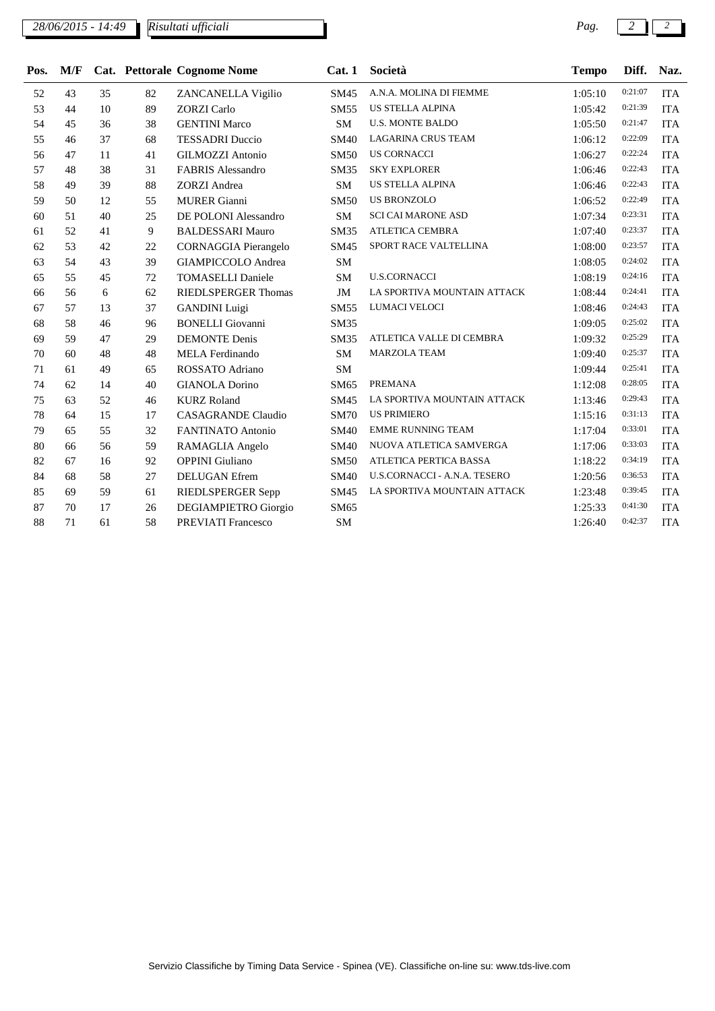*28/06/2015 - 14:49 Pag. 2 2 Risultati ufficiali*

| Pos. | M/F |    |    | Cat. Pettorale Cognome Nome | Cat.1       | Società                             | <b>Tempo</b> | Diff.   | Naz.       |
|------|-----|----|----|-----------------------------|-------------|-------------------------------------|--------------|---------|------------|
| 52   | 43  | 35 | 82 | ZANCANELLA Vigilio          | SM45        | A.N.A. MOLINA DI FIEMME             | 1:05:10      | 0:21:07 | <b>ITA</b> |
| 53   | 44  | 10 | 89 | <b>ZORZI</b> Carlo          | <b>SM55</b> | <b>US STELLA ALPINA</b>             | 1:05:42      | 0:21:39 | <b>ITA</b> |
| 54   | 45  | 36 | 38 | <b>GENTINI Marco</b>        | <b>SM</b>   | <b>U.S. MONTE BALDO</b>             | 1:05:50      | 0:21:47 | <b>ITA</b> |
| 55   | 46  | 37 | 68 | <b>TESSADRI</b> Duccio      | <b>SM40</b> | <b>LAGARINA CRUS TEAM</b>           | 1:06:12      | 0:22:09 | <b>ITA</b> |
| 56   | 47  | 11 | 41 | <b>GILMOZZI Antonio</b>     | <b>SM50</b> | <b>US CORNACCI</b>                  | 1:06:27      | 0:22:24 | <b>ITA</b> |
| 57   | 48  | 38 | 31 | <b>FABRIS Alessandro</b>    | <b>SM35</b> | <b>SKY EXPLORER</b>                 | 1:06:46      | 0:22:43 | <b>ITA</b> |
| 58   | 49  | 39 | 88 | <b>ZORZI</b> Andrea         | <b>SM</b>   | <b>US STELLA ALPINA</b>             | 1:06:46      | 0:22:43 | <b>ITA</b> |
| 59   | 50  | 12 | 55 | <b>MURER</b> Gianni         | <b>SM50</b> | <b>US BRONZOLO</b>                  | 1:06:52      | 0:22:49 | <b>ITA</b> |
| 60   | 51  | 40 | 25 | DE POLONI Alessandro        | SM          | <b>SCI CAI MARONE ASD</b>           | 1:07:34      | 0:23:31 | <b>ITA</b> |
| 61   | 52  | 41 | 9  | <b>BALDESSARI Mauro</b>     | <b>SM35</b> | <b>ATLETICA CEMBRA</b>              | 1:07:40      | 0:23:37 | <b>ITA</b> |
| 62   | 53  | 42 | 22 | <b>CORNAGGIA</b> Pierangelo | SM45        | SPORT RACE VALTELLINA               | 1:08:00      | 0:23:57 | <b>ITA</b> |
| 63   | 54  | 43 | 39 | <b>GIAMPICCOLO Andrea</b>   | <b>SM</b>   |                                     | 1:08:05      | 0:24:02 | <b>ITA</b> |
| 65   | 55  | 45 | 72 | <b>TOMASELLI Daniele</b>    | <b>SM</b>   | <b>U.S.CORNACCI</b>                 | 1:08:19      | 0:24:16 | <b>ITA</b> |
| 66   | 56  | 6  | 62 | <b>RIEDLSPERGER Thomas</b>  | JM          | LA SPORTIVA MOUNTAIN ATTACK         | 1:08:44      | 0:24:41 | <b>ITA</b> |
| 67   | 57  | 13 | 37 | <b>GANDINI</b> Luigi        | <b>SM55</b> | LUMACI VELOCI                       | 1:08:46      | 0:24:43 | <b>ITA</b> |
| 68   | 58  | 46 | 96 | <b>BONELLI</b> Giovanni     | <b>SM35</b> |                                     | 1:09:05      | 0:25:02 | <b>ITA</b> |
| 69   | 59  | 47 | 29 | <b>DEMONTE</b> Denis        | <b>SM35</b> | ATLETICA VALLE DI CEMBRA            | 1:09:32      | 0:25:29 | <b>ITA</b> |
| 70   | 60  | 48 | 48 | <b>MELA Ferdinando</b>      | SM          | <b>MARZOLA TEAM</b>                 | 1:09:40      | 0:25:37 | <b>ITA</b> |
| 71   | 61  | 49 | 65 | ROSSATO Adriano             | <b>SM</b>   |                                     | 1:09:44      | 0:25:41 | <b>ITA</b> |
| 74   | 62  | 14 | 40 | <b>GIANOLA Dorino</b>       | SM65        | <b>PREMANA</b>                      | 1:12:08      | 0:28:05 | <b>ITA</b> |
| 75   | 63  | 52 | 46 | <b>KURZ Roland</b>          | SM45        | LA SPORTIVA MOUNTAIN ATTACK         | 1:13:46      | 0:29:43 | <b>ITA</b> |
| 78   | 64  | 15 | 17 | <b>CASAGRANDE Claudio</b>   | <b>SM70</b> | <b>US PRIMIERO</b>                  | 1:15:16      | 0:31:13 | <b>ITA</b> |
| 79   | 65  | 55 | 32 | <b>FANTINATO Antonio</b>    | <b>SM40</b> | <b>EMME RUNNING TEAM</b>            | 1:17:04      | 0:33:01 | <b>ITA</b> |
| 80   | 66  | 56 | 59 | RAMAGLIA Angelo             | SM40        | NUOVA ATLETICA SAMVERGA             | 1:17:06      | 0:33:03 | <b>ITA</b> |
| 82   | 67  | 16 | 92 | <b>OPPINI</b> Giuliano      | <b>SM50</b> | ATLETICA PERTICA BASSA              | 1:18:22      | 0:34:19 | <b>ITA</b> |
| 84   | 68  | 58 | 27 | <b>DELUGAN</b> Efrem        | <b>SM40</b> | <b>U.S.CORNACCI - A.N.A. TESERO</b> | 1:20:56      | 0:36:53 | <b>ITA</b> |
| 85   | 69  | 59 | 61 | RIEDLSPERGER Sepp           | SM45        | LA SPORTIVA MOUNTAIN ATTACK         | 1:23:48      | 0:39:45 | <b>ITA</b> |

 70 17 26 DEGIAMPIETRO Giorgio SM65 1:25:33 0:41:30 ITA 71 61 58 PREVIATI Francesco SM 1:26:40 0:42:37 ITA